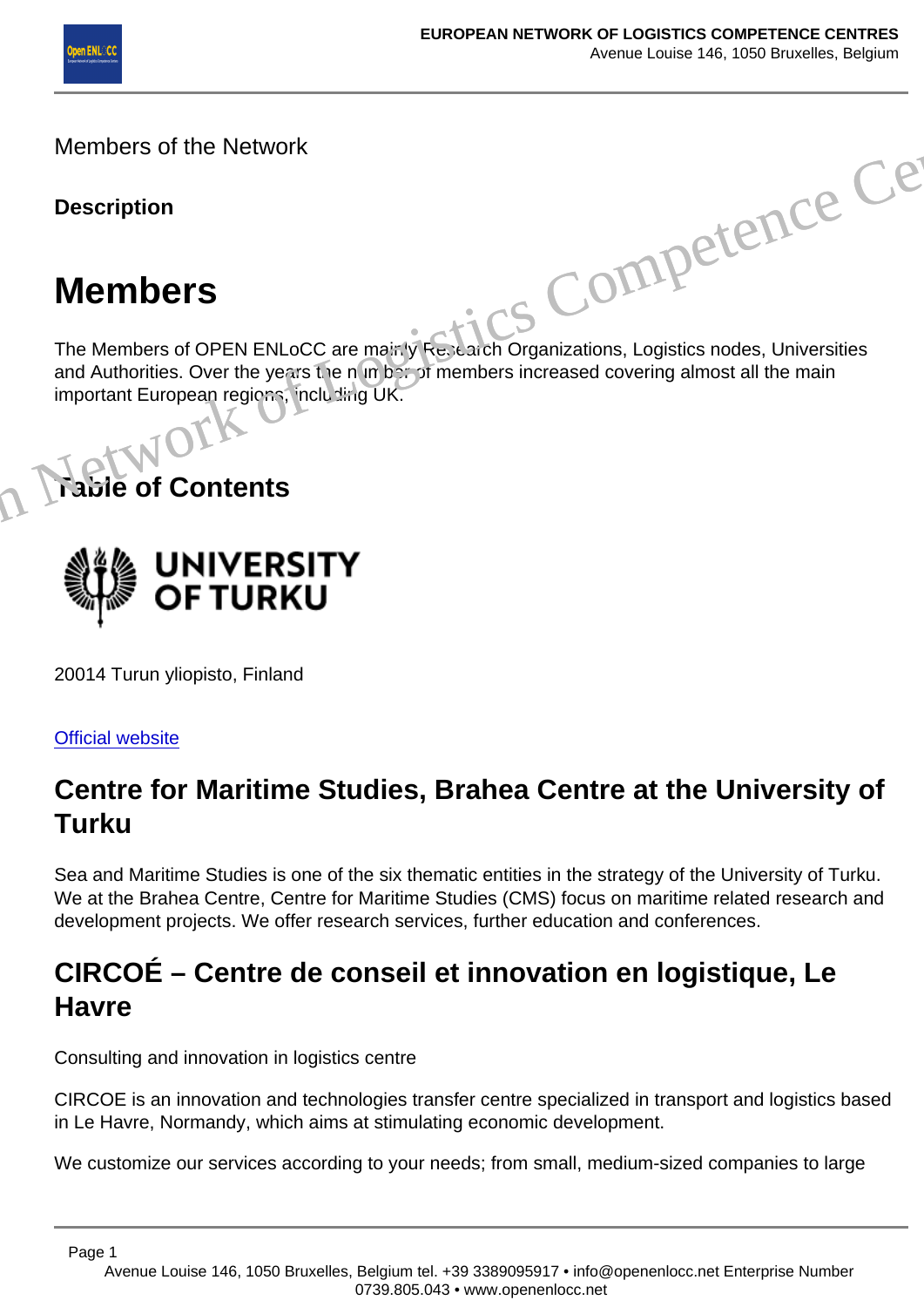Members of the Network

**Description** 

# Members

The Members of OPEN ENLoCC are mairly Research Organizations, Logistics nodes, Universities and Authorities. Over the years the number of members increased covering almost all the main important European regions, including UK. Etics Competence



20014 Turun yliopisto, Finland

Official website

# Centre for Maritime Studies, Brahea Centre at the University of Turku

Sea and Maritime Studies is one of the six thematic entities in the strategy of the University of Turku. We at the Brahea Centre, Centre for Maritime Studies (CMS) focus on maritime related research and development projects. We offer research services, further education and conferences.

# CIRCOÉ – Centre de conseil et innovation en logistique, Le **Havre**

Consulting and innovation in logistics centre

CIRCOE is an innovation and technologies transfer centre specialized in transport and logistics based in Le Havre, Normandy, which aims at stimulating economic development.

We customize our services according to your needs; from small, medium-sized companies to large

Page 1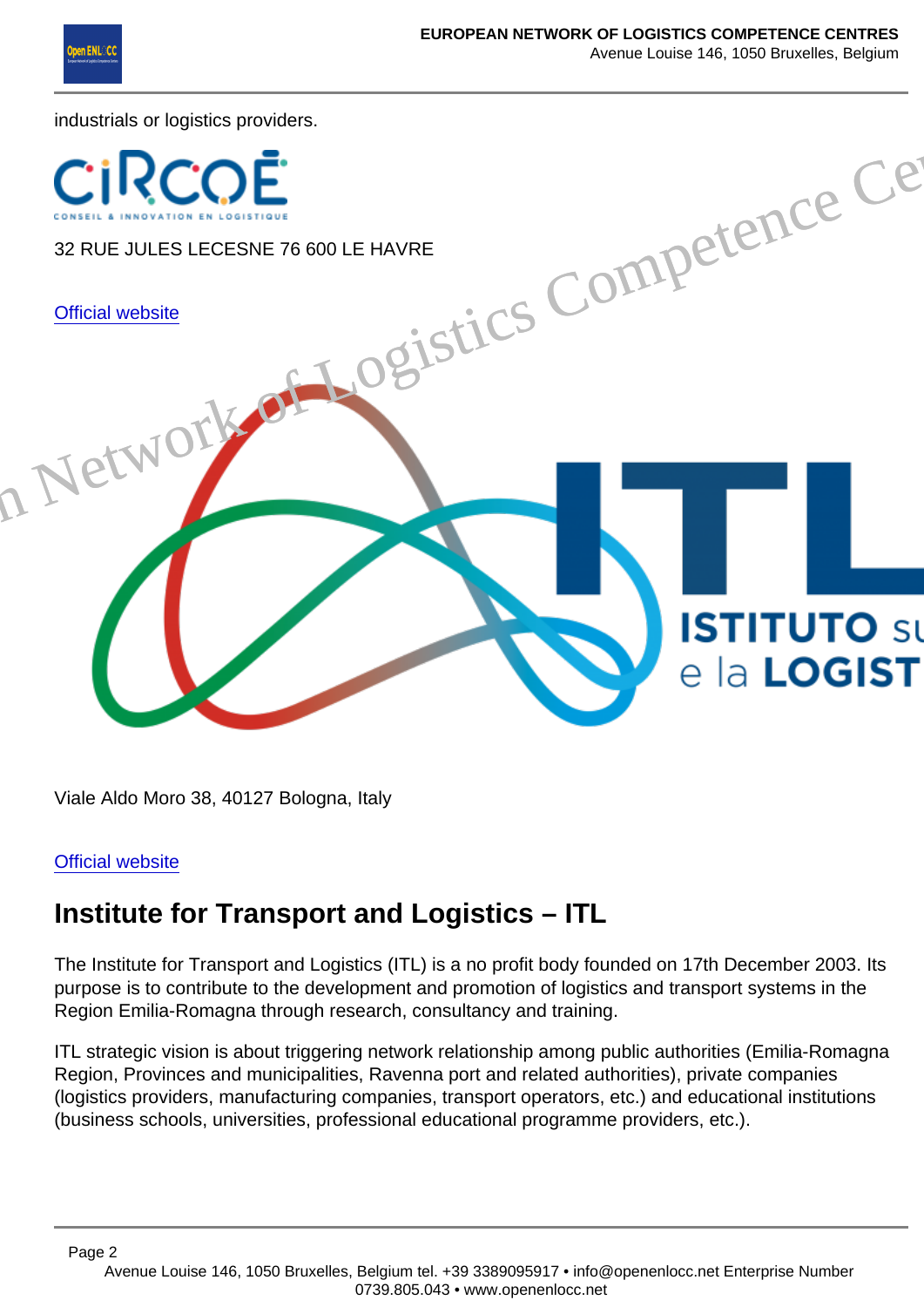industrials or logistics providers.

# 32 RUE JULES LECESNE 76 600 LE HAVRE industrials or logistics providers.<br>
SIR DE JULES LECESNE 76 600 LE HAVRE<br>
Of LOGISTICS COMPETER<br>
DE LOGISTICS

Official website

Viale Aldo Moro 38, 40127 Bologna, Italy

#### Official website

### Institute for Transport and Logistics – ITL

The Institute for Transport and Logistics (ITL) is a no profit body founded on 17th December 2003. Its purpose is to contribute to the development and promotion of logistics and transport systems in the Region Emilia-Romagna through research, consultancy and training.

ITL strategic vision is about triggering network relationship among public authorities (Emilia-Romagna Region, Provinces and municipalities, Ravenna port and related authorities), private companies (logistics providers, manufacturing companies, transport operators, etc.) and educational institutions (business schools, universities, professional educational programme providers, etc.).

Page 2

Avenue Louise 146, 1050 Bruxelles, Belgium tel. +39 3389095917 • info@openenlocc.net Enterprise Number 0739.805.043 • www.openenlocc.net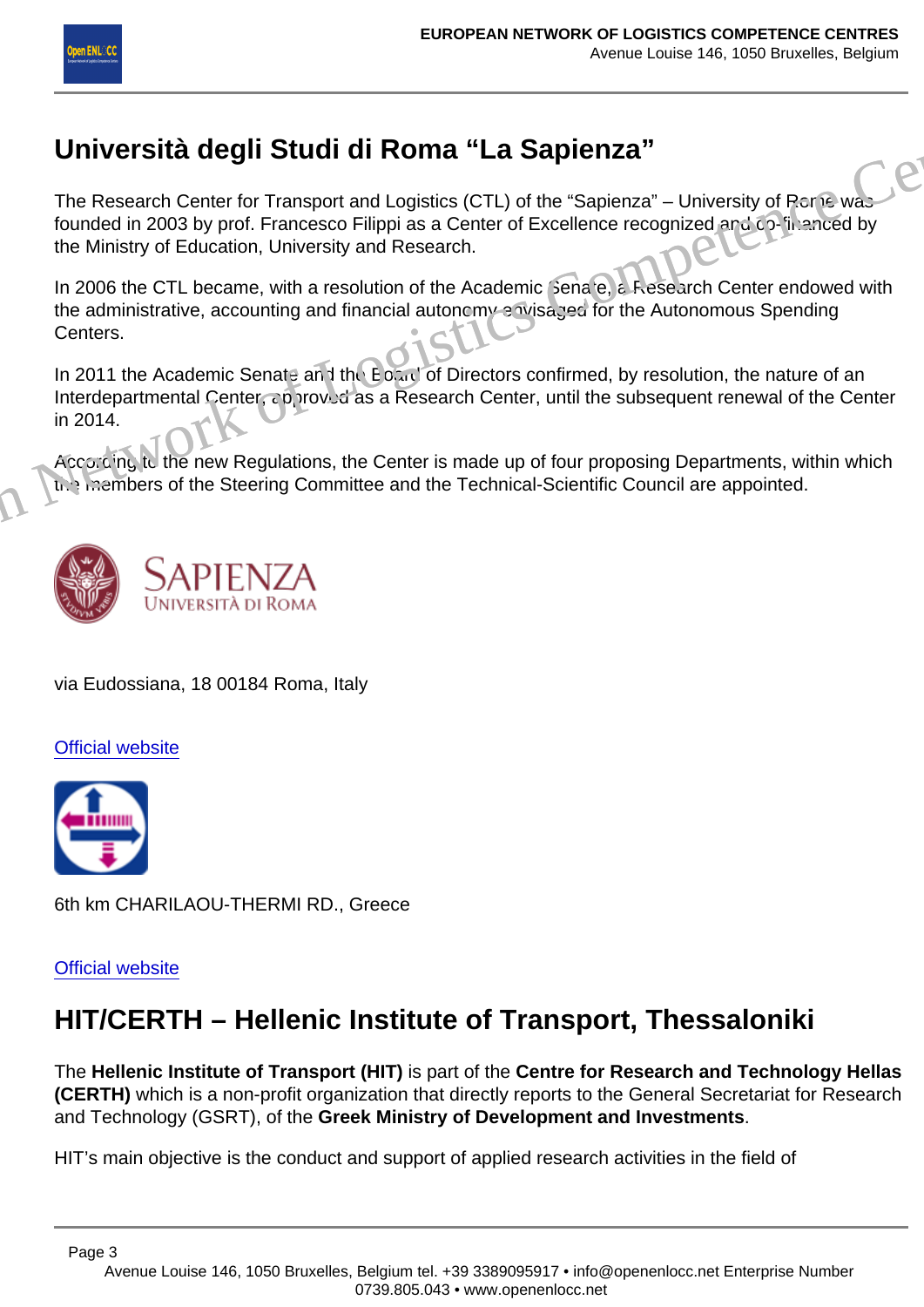### Università degli Studi di Roma "La Sapienza"

The Research Center for Transport and Logistics (CTL) of the "Sapienza" – University of Rome was founded in 2003 by prof. Francesco Filippi as a Center of Excellence recognized and co-financed by the Ministry of Education, University and Research.

In 2006 the CTL became, with a resolution of the Academic Senate, a Research Center endowed with the administrative, accounting and financial autonomy envisaged for the Autonomous Spending Centers.

In 2011 the Academic Senate and the Board of Directors confirmed, by resolution, the nature of an Interdepartmental Center, applion ad as a Research Center, until the subsequent renewal of the Center in 2014. Università degli Studi di Roma "La Sapienza"<br>
The Research Center for Transport and Logistics (CTL) of the "Sapienza" – University of Eprocesso<br>
founded in 2003 by prof. Francesco Filippi as a Center of Excellence recogniz

According to the new Regulations, the Center is made up of four proposing Departments, within which the members of the Steering Committee and the Technical-Scientific Council are appointed.

via Eudossiana, 18 00184 Roma, Italy

Official website

6th km CHARILAOU-THERMI RD., Greece

Official website

### HIT/CERTH – Hellenic Institute of Transport, Thessaloniki

The Hellenic Institute of Transport (HIT) is part of the Centre for Research and Technology Hellas (CERTH) which is a non-profit organization that directly reports to the General Secretariat for Research and Technology (GSRT), of the Greek Ministry of Development and Investments .

HIT's main objective is the conduct and support of applied research activities in the field of

Page 3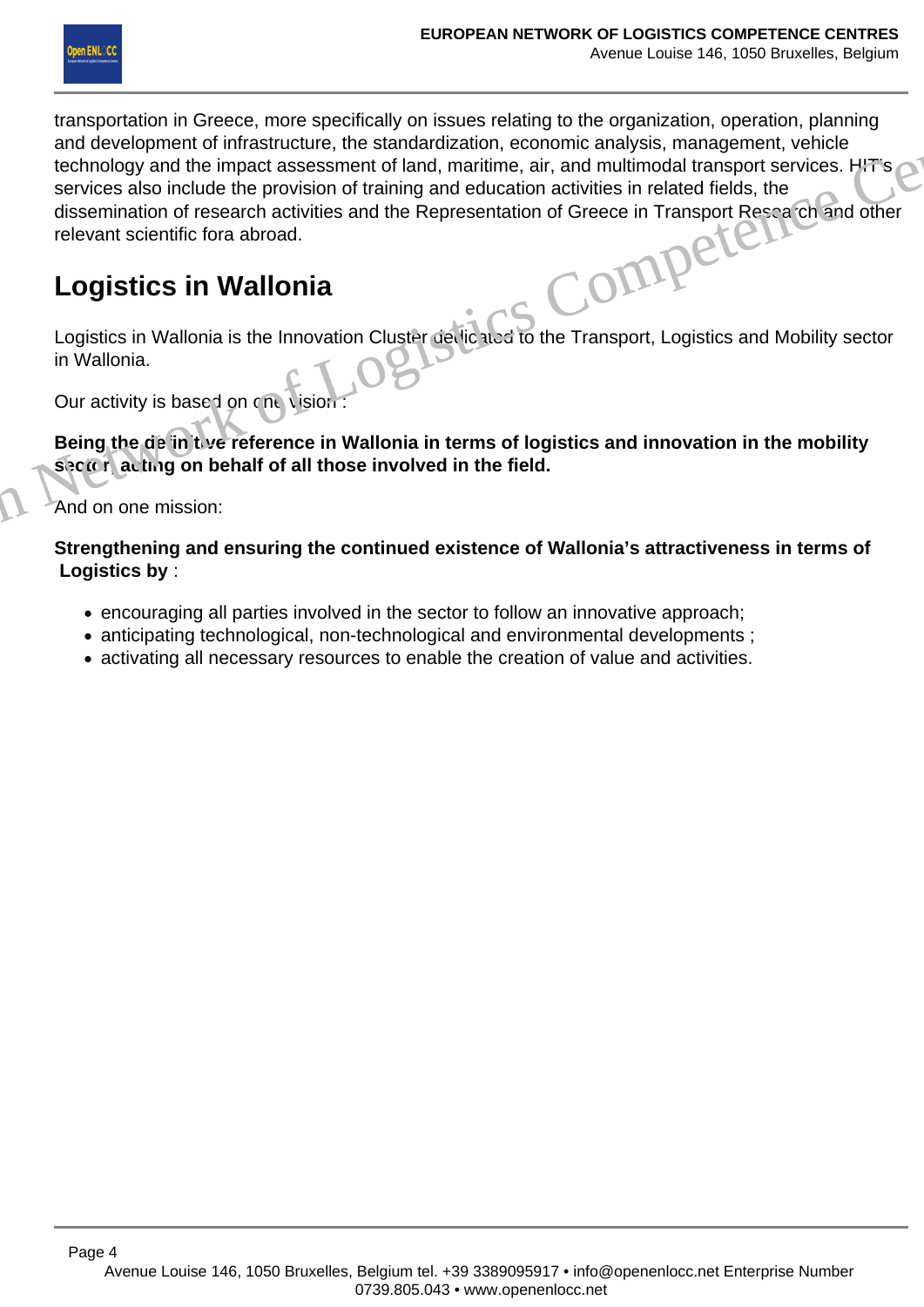

transportation in Greece, more specifically on issues relating to the organization, operation, planning and development of infrastructure, the standardization, economic analysis, management, vehicle technology and the impact assessment of land, maritime, air, and multimodal transport services. HIT's services also include the provision of training and education activities in related fields, the dissemination of research activities and the Representation of Greece in Transport Research and other relevant scientific fora abroad. European Market and Market and Market and Market The Constraining of the Original and development of infrastructure, the standardization, economic analysis, management, vehicle<br>technology and the impact assessment of land,

# **Logistics in Wallonia**

Logistics in Wallonia is the Innovation Cluster dedicated to the Transport, Logistics and Mobility sector in Wallonia.

Our activity is based on one vision

Being the de in tive reference in Wallonia in terms of logistics and innovation in the mobility **sector, acting on behalf of all those involved in the field.**

And on one mission:

**Strengthening and ensuring the continued existence of Wallonia's attractiveness in terms of Logistics by** :

- encouraging all parties involved in the sector to follow an innovative approach;
- anticipating technological, non-technological and environmental developments ;
- activating all necessary resources to enable the creation of value and activities.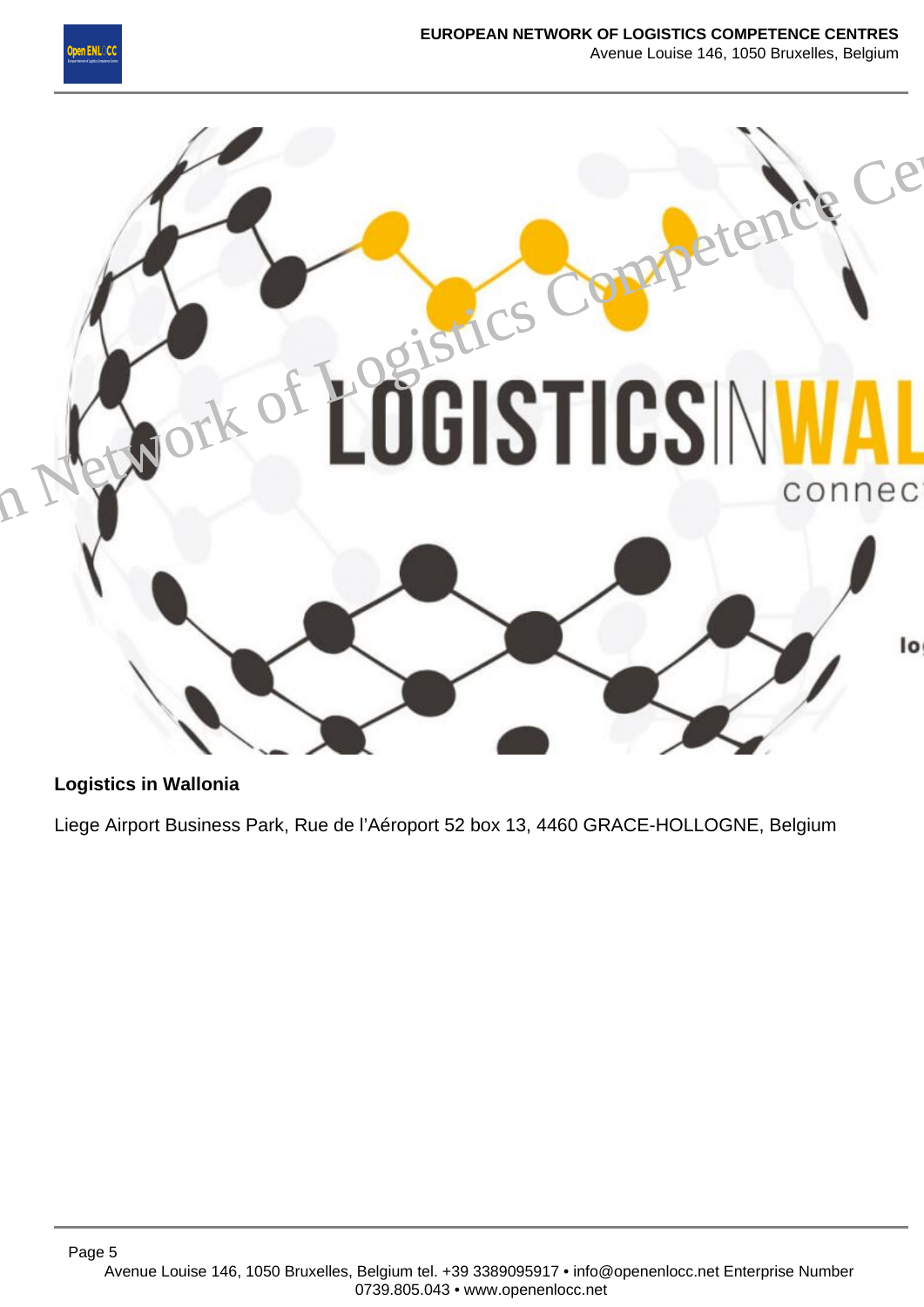



### **Logistics in Wallonia**

Liege Airport Business Park, Rue de l'Aéroport 52 box 13, 4460 GRACE-HOLLOGNE, Belgium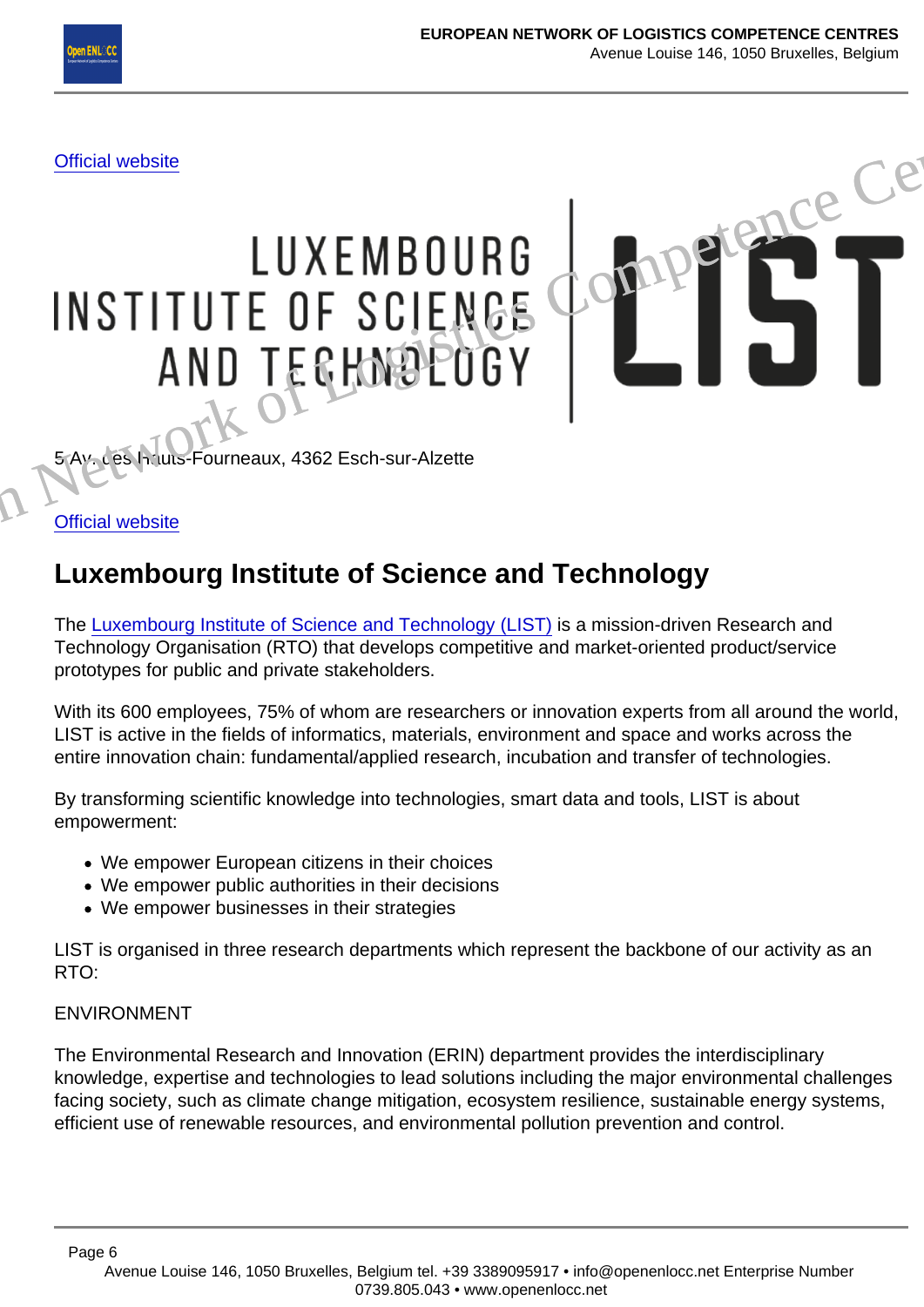Official website

# v. des Hauts-Fourneaux, 4362 Esch-sur-Alzette Irk of Logistics Competence

Official website

## Luxembourg Institute of Science and Technology

The [Luxembourg Institute of Science and Technology \(LIST\)](https://www.list.lu/) is a mission-driven Research and Technology Organisation (RTO) that develops competitive and market-oriented product/service prototypes for public and private stakeholders.

With its 600 employees, 75% of whom are researchers or innovation experts from all around the world, LIST is active in the fields of informatics, materials, environment and space and works across the entire innovation chain: fundamental/applied research, incubation and transfer of technologies.

By transforming scientific knowledge into technologies, smart data and tools, LIST is about empowerment:

- We empower European citizens in their choices
- We empower public authorities in their decisions
- We empower businesses in their strategies

LIST is organised in three research departments which represent the backbone of our activity as an RTO:

### ENVIRONMENT

The Environmental Research and Innovation (ERIN) department provides the interdisciplinary knowledge, expertise and technologies to lead solutions including the major environmental challenges facing society, such as climate change mitigation, ecosystem resilience, sustainable energy systems, efficient use of renewable resources, and environmental pollution prevention and control.

Page 6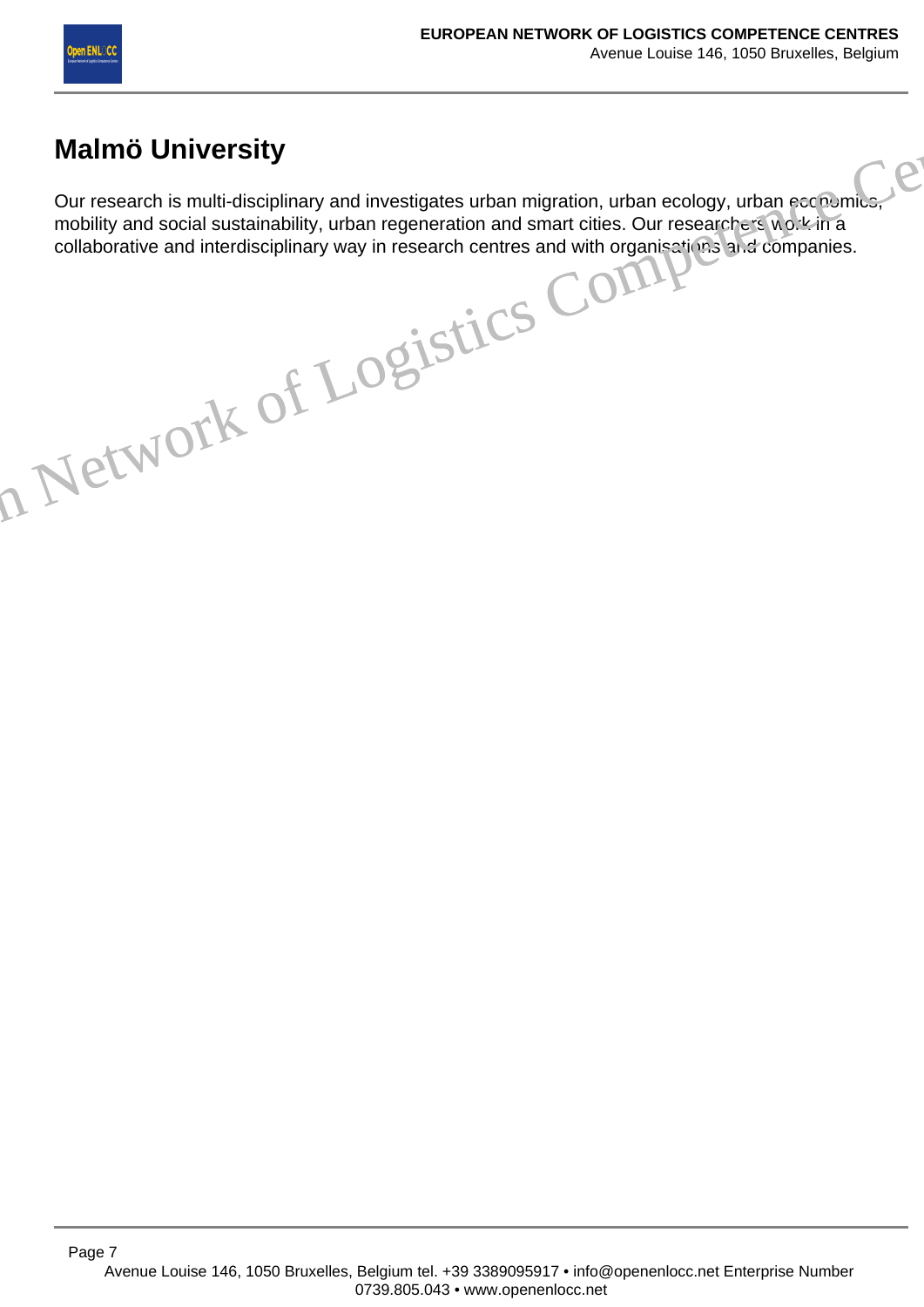

### **Malmö University**

Our research is multi-disciplinary and investigates urban migration, urban ecology, urban economics mobility and social sustainability, urban regeneration and smart cities. Our researchers work in a collaborative and interdisciplinary way in research centres and with organisations and companies. Europe Of Logistics Comp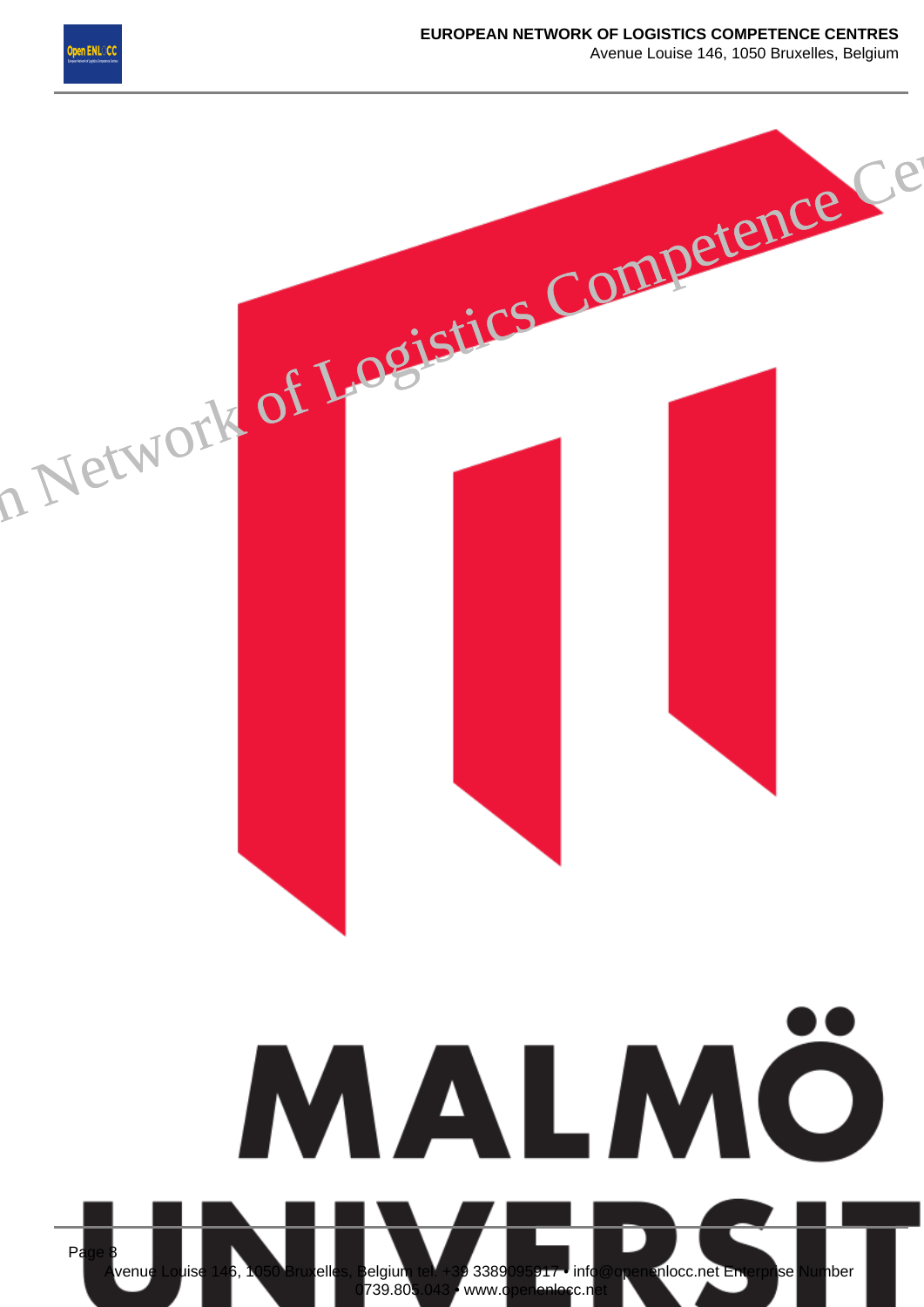

Avenue Louise 146, 1050 Bruxelles, Belgium

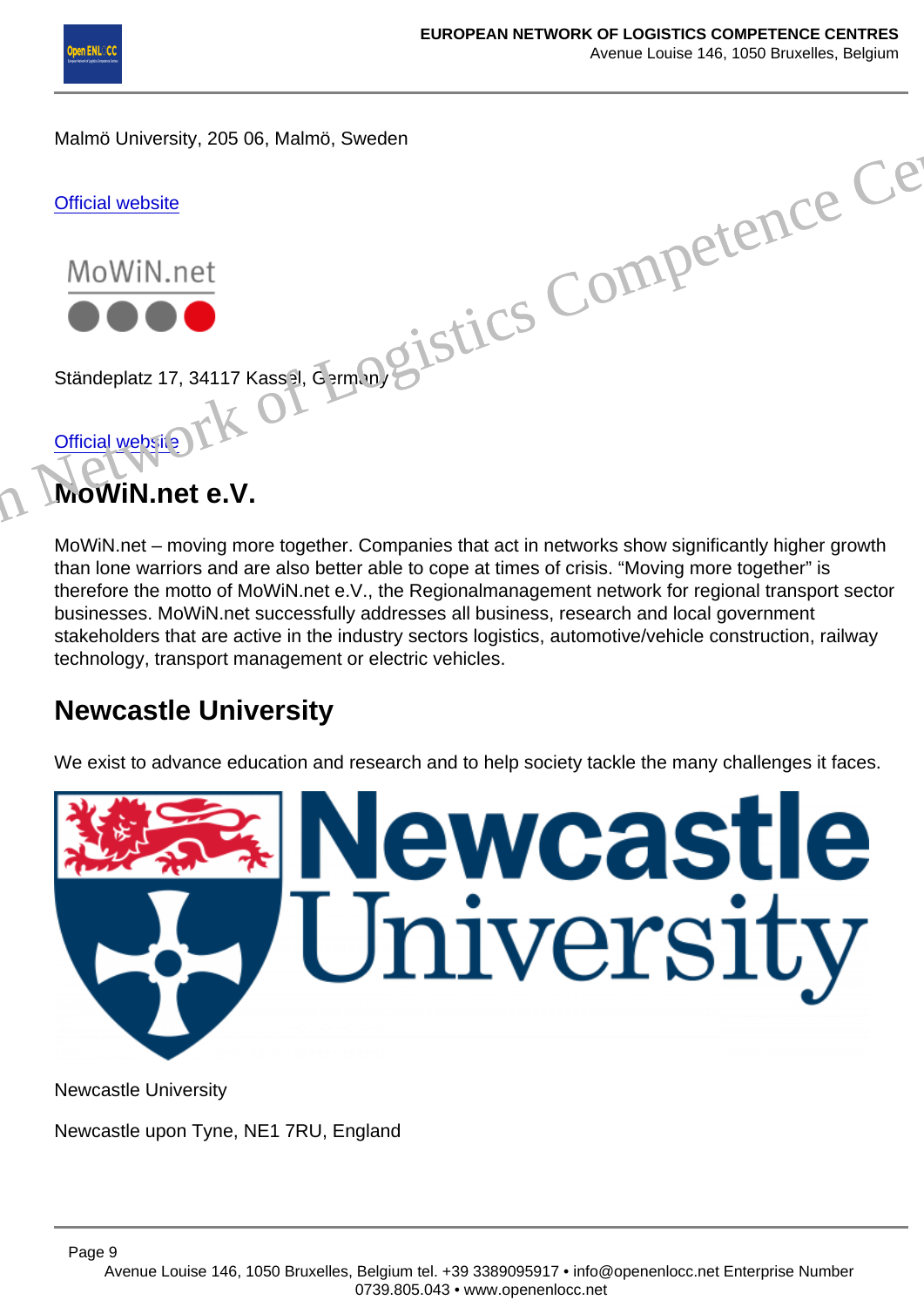Malmö University, 205 06, Malmö, Sweden

Official website

Ständeplatz 17, 34117 Kassel, Cermany

Official website

### MoWiN.net e.V.

MoWiN.net – moving more together. Companies that act in networks show significantly higher growth than lone warriors and are also better able to cope at times of crisis. "Moving more together" is therefore the motto of MoWiN.net e.V., the Regionalmanagement network for regional transport sector businesses. MoWiN.net successfully addresses all business, research and local government stakeholders that are active in the industry sectors logistics, automotive/vehicle construction, railway technology, transport management or electric vehicles. Malmö University, 205 06, Malmö, Sweden<br>
Official website<br>
Ständeplatz 17, 34117 Kassel German<br>
Official website<br>
Official website<br>
Official website<br>
Official website<br>
Official website<br>
Official website<br>
Official website<br>

### Newcastle University

We exist to advance education and research and to help society tackle the many challenges it faces.

Newcastle University

Newcastle upon Tyne, NE1 7RU, England

Page 9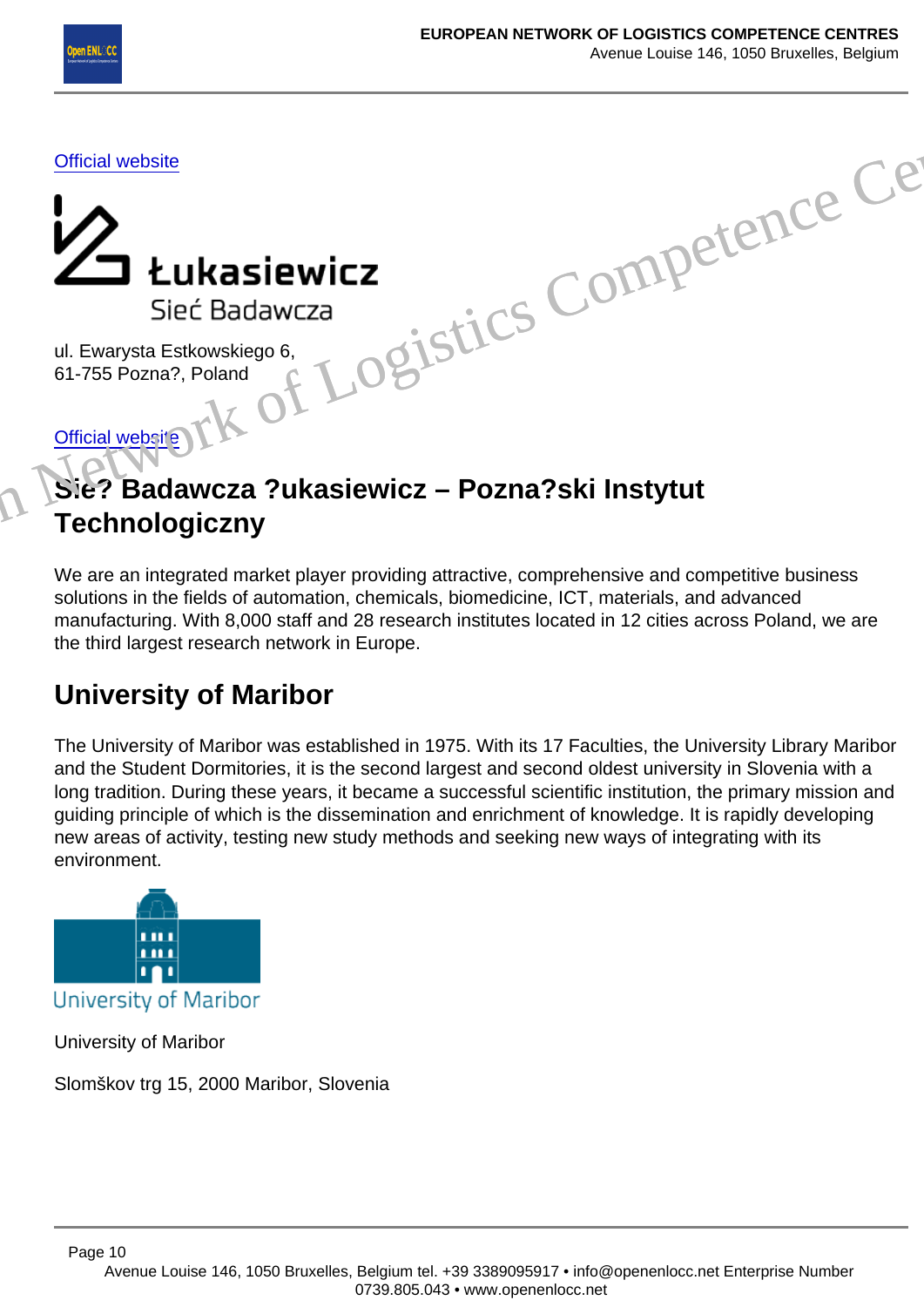Official website

ul. Ewarysta Estkowskiego 6, 61-755 Pozna?, Poland

Official website

# Sie? Badawcza ?ukasiewicz – Pozna?ski Instytut **Technologiczny** Official [w](http://www.pit.lukasiewicz.gov.pl)ebsite<br>
U. Ewarysta Estkowskiego 6,<br>
61-755 Pozna?, Poland<br>
Official website<br>
Official website<br>
Of Logistics Comprehensive<br>
Official website<br>
Of Logistics Competence<br>
Of Sis? Badawcza ?ukasiewicz – Pozna?ski Inst

We are an integrated market player providing attractive, comprehensive and competitive business solutions in the fields of automation, chemicals, biomedicine, ICT, materials, and advanced manufacturing. With 8,000 staff and 28 research institutes located in 12 cities across Poland, we are the third largest research network in Europe.

### University of Maribor

The University of Maribor was established in 1975. With its 17 Faculties, the University Library Maribor and the Student Dormitories, it is the second largest and second oldest university in Slovenia with a long tradition. During these years, it became a successful scientific institution, the primary mission and guiding principle of which is the dissemination and enrichment of knowledge. It is rapidly developing new areas of activity, testing new study methods and seeking new ways of integrating with its environment.

University of Maribor

Slomškov trg 15, 2000 Maribor, Slovenia

Page 10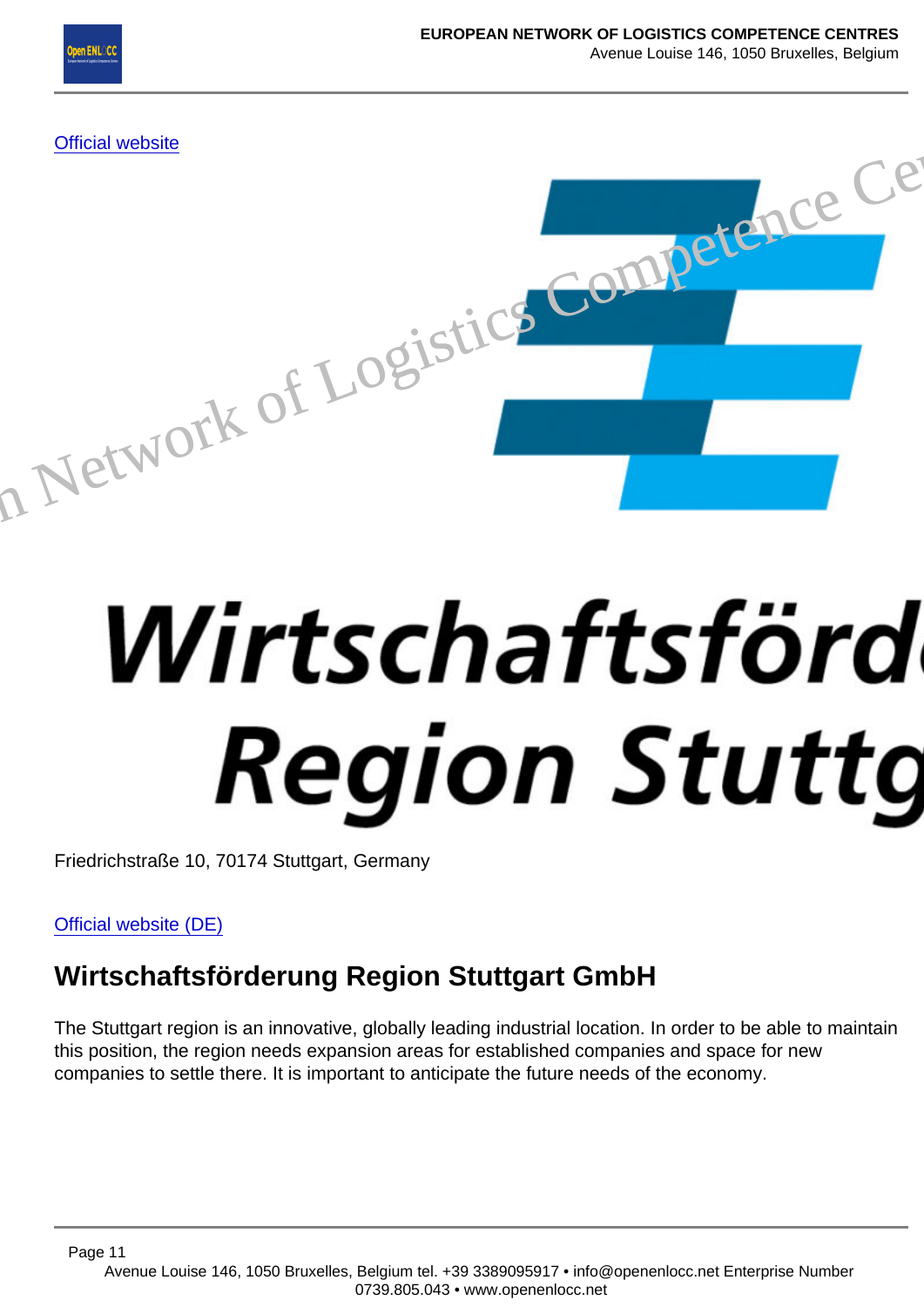Official website **Official website**<br>Official website<br>Bin Network of Logistics Competence

Friedrichstraße 10, 70174 Stuttgart, Germany

Official website (DE)

### Wirtschaftsförderung Region Stuttgart GmbH

The Stuttgart region is an innovative, globally leading industrial location. In order to be able to maintain this position, the region needs expansion areas for established companies and space for new companies to settle there. It is important to anticipate the future needs of the economy.

Page 11